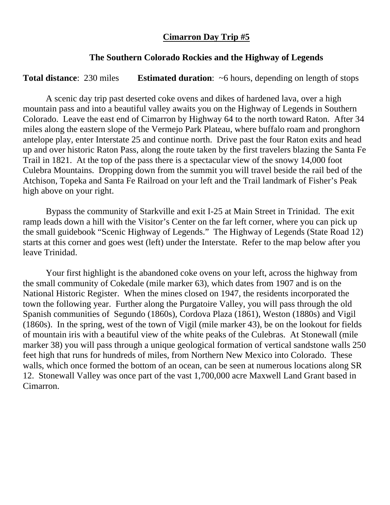## **Cimarron Day Trip #5**

## **The Southern Colorado Rockies and the Highway of Legends**

**Total distance:** 230 miles **Estimated duration:** ~6 hours, depending on length of stops

A scenic day trip past deserted coke ovens and dikes of hardened lava, over a high mountain pass and into a beautiful valley awaits you on the Highway of Legends in Southern Colorado. Leave the east end of Cimarron by Highway 64 to the north toward Raton. After 34 miles along the eastern slope of the Vermejo Park Plateau, where buffalo roam and pronghorn antelope play, enter Interstate 25 and continue north. Drive past the four Raton exits and head up and over historic Raton Pass, along the route taken by the first travelers blazing the Santa Fe Trail in 1821. At the top of the pass there is a spectacular view of the snowy 14,000 foot Culebra Mountains. Dropping down from the summit you will travel beside the rail bed of the Atchison, Topeka and Santa Fe Railroad on your left and the Trail landmark of Fisher's Peak high above on your right.

Bypass the community of Starkville and exit I-25 at Main Street in Trinidad. The exit ramp leads down a hill with the Visitor's Center on the far left corner, where you can pick up the small guidebook "Scenic Highway of Legends." The Highway of Legends (State Road 12) starts at this corner and goes west (left) under the Interstate. Refer to the map below after you leave Trinidad.

Your first highlight is the abandoned coke ovens on your left, across the highway from the small community of Cokedale (mile marker 63), which dates from 1907 and is on the National Historic Register. When the mines closed on 1947, the residents incorporated the town the following year. Further along the Purgatoire Valley, you will pass through the old Spanish communities of Segundo (1860s), Cordova Plaza (1861), Weston (1880s) and Vigil (1860s). In the spring, west of the town of Vigil (mile marker 43), be on the lookout for fields of mountain iris with a beautiful view of the white peaks of the Culebras. At Stonewall (mile marker 38) you will pass through a unique geological formation of vertical sandstone walls 250 feet high that runs for hundreds of miles, from Northern New Mexico into Colorado. These walls, which once formed the bottom of an ocean, can be seen at numerous locations along SR 12. Stonewall Valley was once part of the vast 1,700,000 acre Maxwell Land Grant based in Cimarron.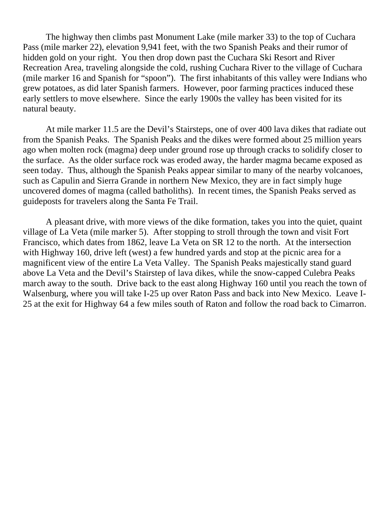The highway then climbs past Monument Lake (mile marker 33) to the top of Cuchara Pass (mile marker 22), elevation 9,941 feet, with the two Spanish Peaks and their rumor of hidden gold on your right. You then drop down past the Cuchara Ski Resort and River Recreation Area, traveling alongside the cold, rushing Cuchara River to the village of Cuchara (mile marker 16 and Spanish for "spoon"). The first inhabitants of this valley were Indians who grew potatoes, as did later Spanish farmers. However, poor farming practices induced these early settlers to move elsewhere. Since the early 1900s the valley has been visited for its natural beauty.

At mile marker 11.5 are the Devil's Stairsteps, one of over 400 lava dikes that radiate out from the Spanish Peaks. The Spanish Peaks and the dikes were formed about 25 million years ago when molten rock (magma) deep under ground rose up through cracks to solidify closer to the surface. As the older surface rock was eroded away, the harder magma became exposed as seen today. Thus, although the Spanish Peaks appear similar to many of the nearby volcanoes, such as Capulin and Sierra Grande in northern New Mexico, they are in fact simply huge uncovered domes of magma (called batholiths). In recent times, the Spanish Peaks served as guideposts for travelers along the Santa Fe Trail.

A pleasant drive, with more views of the dike formation, takes you into the quiet, quaint village of La Veta (mile marker 5). After stopping to stroll through the town and visit Fort Francisco, which dates from 1862, leave La Veta on SR 12 to the north. At the intersection with Highway 160, drive left (west) a few hundred yards and stop at the picnic area for a magnificent view of the entire La Veta Valley. The Spanish Peaks majestically stand guard above La Veta and the Devil's Stairstep of lava dikes, while the snow-capped Culebra Peaks march away to the south. Drive back to the east along Highway 160 until you reach the town of Walsenburg, where you will take I-25 up over Raton Pass and back into New Mexico. Leave I-25 at the exit for Highway 64 a few miles south of Raton and follow the road back to Cimarron.